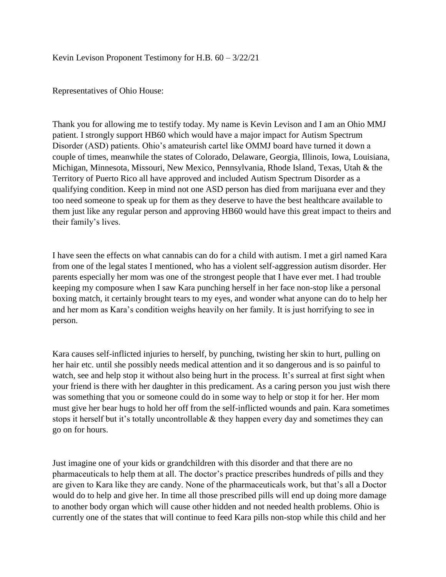Kevin Levison Proponent Testimony for H.B. 60 – 3/22/21

Representatives of Ohio House:

Thank you for allowing me to testify today. My name is Kevin Levison and I am an Ohio MMJ patient. I strongly support HB60 which would have a major impact for Autism Spectrum Disorder (ASD) patients. Ohio's amateurish cartel like OMMJ board have turned it down a couple of times, meanwhile the states of Colorado, Delaware, Georgia, Illinois, Iowa, Louisiana, Michigan, Minnesota, Missouri, New Mexico, Pennsylvania, Rhode Island, Texas, Utah & the Territory of Puerto Rico all have approved and included Autism Spectrum Disorder as a qualifying condition. Keep in mind not one ASD person has died from marijuana ever and they too need someone to speak up for them as they deserve to have the best healthcare available to them just like any regular person and approving HB60 would have this great impact to theirs and their family's lives.

I have seen the effects on what cannabis can do for a child with autism. I met a girl named Kara from one of the legal states I mentioned, who has a violent self-aggression autism disorder. Her parents especially her mom was one of the strongest people that I have ever met. I had trouble keeping my composure when I saw Kara punching herself in her face non-stop like a personal boxing match, it certainly brought tears to my eyes, and wonder what anyone can do to help her and her mom as Kara's condition weighs heavily on her family. It is just horrifying to see in person.

Kara causes self-inflicted injuries to herself, by punching, twisting her skin to hurt, pulling on her hair etc. until she possibly needs medical attention and it so dangerous and is so painful to watch, see and help stop it without also being hurt in the process. It's surreal at first sight when your friend is there with her daughter in this predicament. As a caring person you just wish there was something that you or someone could do in some way to help or stop it for her. Her mom must give her bear hugs to hold her off from the self-inflicted wounds and pain. Kara sometimes stops it herself but it's totally uncontrollable  $\&$  they happen every day and sometimes they can go on for hours.

Just imagine one of your kids or grandchildren with this disorder and that there are no pharmaceuticals to help them at all. The doctor's practice prescribes hundreds of pills and they are given to Kara like they are candy. None of the pharmaceuticals work, but that's all a Doctor would do to help and give her. In time all those prescribed pills will end up doing more damage to another body organ which will cause other hidden and not needed health problems. Ohio is currently one of the states that will continue to feed Kara pills non-stop while this child and her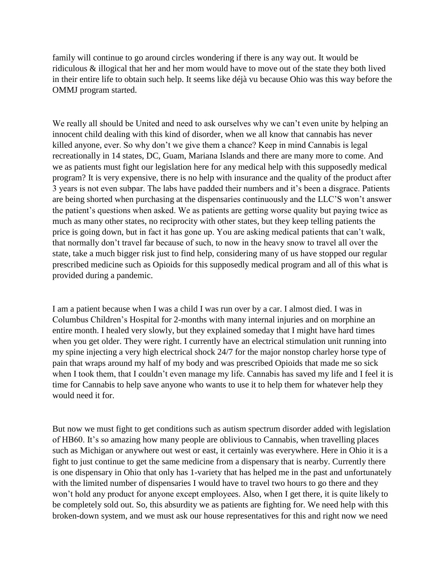family will continue to go around circles wondering if there is any way out. It would be ridiculous & illogical that her and her mom would have to move out of the state they both lived in their entire life to obtain such help. It seems like déjà vu because Ohio was this way before the OMMJ program started.

We really all should be United and need to ask ourselves why we can't even unite by helping an innocent child dealing with this kind of disorder, when we all know that cannabis has never killed anyone, ever. So why don't we give them a chance? Keep in mind Cannabis is legal recreationally in 14 states, DC, Guam, Mariana Islands and there are many more to come. And we as patients must fight our legislation here for any medical help with this supposedly medical program? It is very expensive, there is no help with insurance and the quality of the product after 3 years is not even subpar. The labs have padded their numbers and it's been a disgrace. Patients are being shorted when purchasing at the dispensaries continuously and the LLC'S won't answer the patient's questions when asked. We as patients are getting worse quality but paying twice as much as many other states, no reciprocity with other states, but they keep telling patients the price is going down, but in fact it has gone up. You are asking medical patients that can't walk, that normally don't travel far because of such, to now in the heavy snow to travel all over the state, take a much bigger risk just to find help, considering many of us have stopped our regular prescribed medicine such as Opioids for this supposedly medical program and all of this what is provided during a pandemic.

I am a patient because when I was a child I was run over by a car. I almost died. I was in Columbus Children's Hospital for 2-months with many internal injuries and on morphine an entire month. I healed very slowly, but they explained someday that I might have hard times when you get older. They were right. I currently have an electrical stimulation unit running into my spine injecting a very high electrical shock 24/7 for the major nonstop charley horse type of pain that wraps around my half of my body and was prescribed Opioids that made me so sick when I took them, that I couldn't even manage my life. Cannabis has saved my life and I feel it is time for Cannabis to help save anyone who wants to use it to help them for whatever help they would need it for.

But now we must fight to get conditions such as autism spectrum disorder added with legislation of HB60. It's so amazing how many people are oblivious to Cannabis, when travelling places such as Michigan or anywhere out west or east, it certainly was everywhere. Here in Ohio it is a fight to just continue to get the same medicine from a dispensary that is nearby. Currently there is one dispensary in Ohio that only has 1-variety that has helped me in the past and unfortunately with the limited number of dispensaries I would have to travel two hours to go there and they won't hold any product for anyone except employees. Also, when I get there, it is quite likely to be completely sold out. So, this absurdity we as patients are fighting for. We need help with this broken-down system, and we must ask our house representatives for this and right now we need